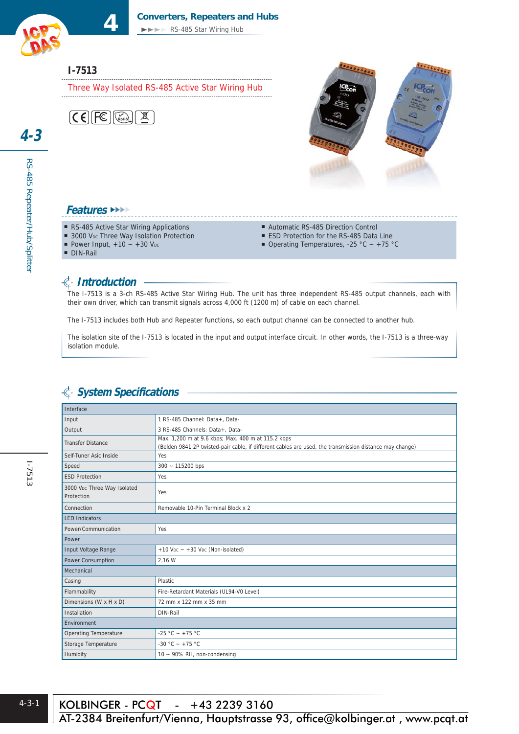#### **4 Converters, Repeaters and Hubs**

►►►► RS-485 Star Wiring Hub

## **I-7513**

Three Way Isolated RS-485 Active Star Wiring Hub





#### **Features** ►►►►

- RS-485 Active Star Wiring Applications
- 3000 VDc Three Way Isolation Protection
- Power Input,  $+10 +30$  V<sub>DC</sub>
- Automatic RS-485 Direction Control
- ESD Protection for the RS-485 Data Line
- Operating Temperatures, -25 °C  $\sim$  +75 °C

DIN-Rail

## **Introduction**

The I-7513 is a 3-ch RS-485 Active Star Wiring Hub. The unit has three independent RS-485 output channels, each with their own driver, which can transmit signals across 4,000 ft (1200 m) of cable on each channel.

The I-7513 includes both Hub and Repeater functions, so each output channel can be connected to another hub.

The isolation site of the I-7513 is located in the input and output interface circuit. In other words, the I-7513 is a three-way isolation module.

#### Interface Input 1 RS-485 Channel: Data+, Data Output 3 RS-485 Channels: Data+, Data-Max. 1,200 m at 9.6 kbps; Max. 400 m at 115.2 kbps<br>
Coddin 2014 at a builded at last is the if different sphere (Belden 9841 2P twisted-pair cable, if different cables are used, the transmission distance may change) Self-Tuner Asic Inside Yes Speed 300 ~ 115200 bps ESD Protection Ves 3000 VDc Three Way Isolated Protection Yes Connection Removable 10-Pin Terminal Block x 2 LED Indicators Power/Communication Yes Power Input Voltage Range  $+10$  V<sub>DC</sub>  $- +30$  V<sub>DC</sub> (Non-isolated) Power Consumption 2.16 W Mechanical Casing Plastic Flammability **Fire-Retardant Materials (UL94-V0 Level)** Dimensions (W x H x D)  $\vert$  72 mm x 122 mm x 35 mm Installation DIN-Rail Environment Operating Temperature  $\Big|$  -25 °C ~ +75 °C Storage Temperature  $\Big| -30 \degree C - +75 \degree C$ Humidity  $10 \approx 90\% \text{ RH}$ , non-condensing

## **System Specifi cations**

RS-485 Repeater/Hub/Splitter

RS-485 Repeater/Hub/Splitter

**4-3**

 $\overline{AT-2384}$  Breitenfurt/Vienna, Hauptstrasse 93, office@kolbinger.at, www.pcqt.at